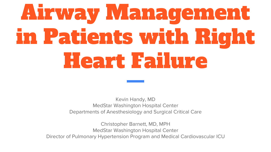# Airway Management in Patients with Right Heart Failure

Kevin Handy, MD MedStar Washington Hospital Center Departments of Anesthesiology and Surgical Critical Care

Christopher Barnett, MD, MPH MedStar Washington Hospital Center Director of Pulmonary Hypertension Program and Medical Cardiovascular ICU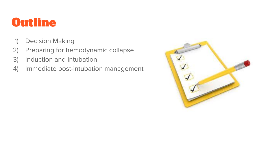#### **Outline**

- 1) Decision Making
- 2) Preparing for hemodynamic collapse
- 3) Induction and Intubation
- 4) Immediate post-intubation management

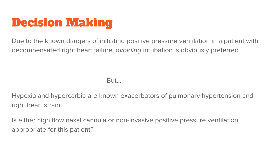

Due to the known dangers of initiating positive pressure ventilation in a patient with decompensated right heart failure, avoiding intubation is obviously preferred

#### But….

Hypoxia and hypercarbia are known exacerbators of pulmonary hypertension and right heart strain

Is either high flow nasal cannula or non-invasive positive pressure ventilation appropriate for this patient?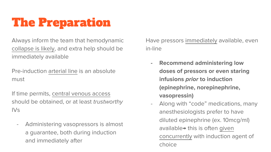## The Preparation

Always inform the team that hemodynamic collapse is likely, and extra help should be immediately available

Pre-induction arterial line is an absolute must

If time permits, central venous access should be obtained, or at least trustworthy IVs

- Administering vasopressors is almost a guarantee, both during induction and immediately after

Have pressors immediately available, even in-line

- **- Recommend administering low doses of pressors or even staring infusions prior to induction (epinephrine, norepinephrine, vasopressin)**
- Along with "code" medications, many anesthesiologists prefer to have diluted epinephrine (ex. 10mcg/ml) available→ this is often given concurrently with induction agent of choice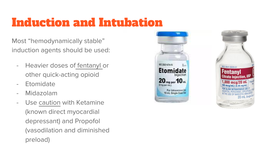### Induction and Intubation

Most "hemodynamically stable" induction agents should be used:

- Heavier doses of fentanyl or other quick-acting opioid
- Etomidate
- Midazolam
- Use caution with Ketamine (known direct myocardial depressant) and Propofol (vasodilation and diminished preload)



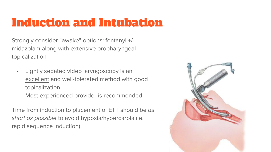#### Induction and Intubation

Strongly consider "awake" options: fentanyl +/ midazolam along with extensive oropharyngeal topicalization

- Lightly sedated video laryngoscopy is an excellent and well-tolerated method with good topicalization
- Most experienced provider is recommended

Time from induction to placement of ETT should be as short as possible to avoid hypoxia/hypercarbia (ie. rapid sequence induction)

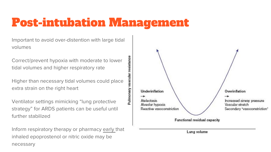#### Post-intubation Management

Important to avoid over-distention with large tidal volumes

Correct/prevent hypoxia with moderate to lower tidal volumes and higher respiratory rate

Higher than necessary tidal volumes could place extra strain on the right heart

Ventilator settings mimicking "lung protective strategy" for ARDS patients can be useful until further stabilized

Inform respiratory therapy or pharmacy early that inhaled epoprostenol or nitric oxide may be necessary

resistanc Visuouln

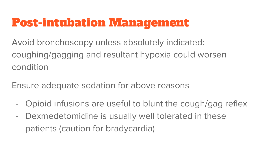### Post-intubation Management

Avoid bronchoscopy unless absolutely indicated: coughing/gagging and resultant hypoxia could worsen condition

Ensure adequate sedation for above reasons

- Opioid infusions are useful to blunt the cough/gag reflex
- Dexmedetomidine is usually well tolerated in these patients (caution for bradycardia)